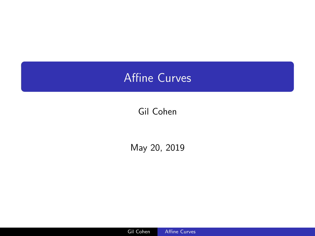# <span id="page-0-0"></span>Affine Curves

## Gil Cohen

May 20, 2019

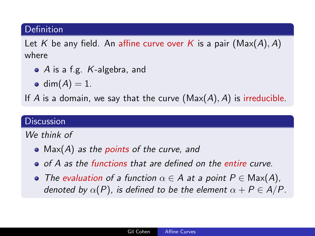#### **Definition**

Let K be any field. An affine curve over K is a pair  $(Max(A), A)$ where

- A is a f.g. K-algebra, and
- dim $(A) = 1$ .

If A is a domain, we say that the curve  $(Max(A), A)$  is irreducible.

### **Discussion**

We think of

- $Max(A)$  as the points of the curve, and
- o of A as the functions that are defined on the entire curve.
- The evaluation of a function  $\alpha \in A$  at a point  $P \in \text{Max}(A)$ , denoted by  $\alpha(P)$ , is defined to be the element  $\alpha + P \in A/P$ .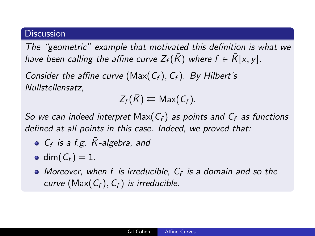#### **Discussion**

The "geometric" example that motivated this definition is what we have been calling the affine curve  $Z_f(\bar{K})$  where  $f \in \bar{K}[x, y]$ .

Consider the affine curve (Max( $C_f$ ),  $C_f$ ). By Hilbert's Nullstellensatz,

 $Z_f(\bar{K}) \rightleftarrows$  Max( $C_f$ ).

So we can indeed interpret Max( $C_f$ ) as points and  $C_f$  as functions defined at all points in this case. Indeed, we proved that:

- $C_f$  is a f.g.  $\bar{K}$ -algebra, and
- $\bullet$  dim( $C_f$ ) = 1.
- Moreover, when f is irreducible,  $C_f$  is a domain and so the curve (Max( $C_f$ ),  $C_f$ ) is irreducible.